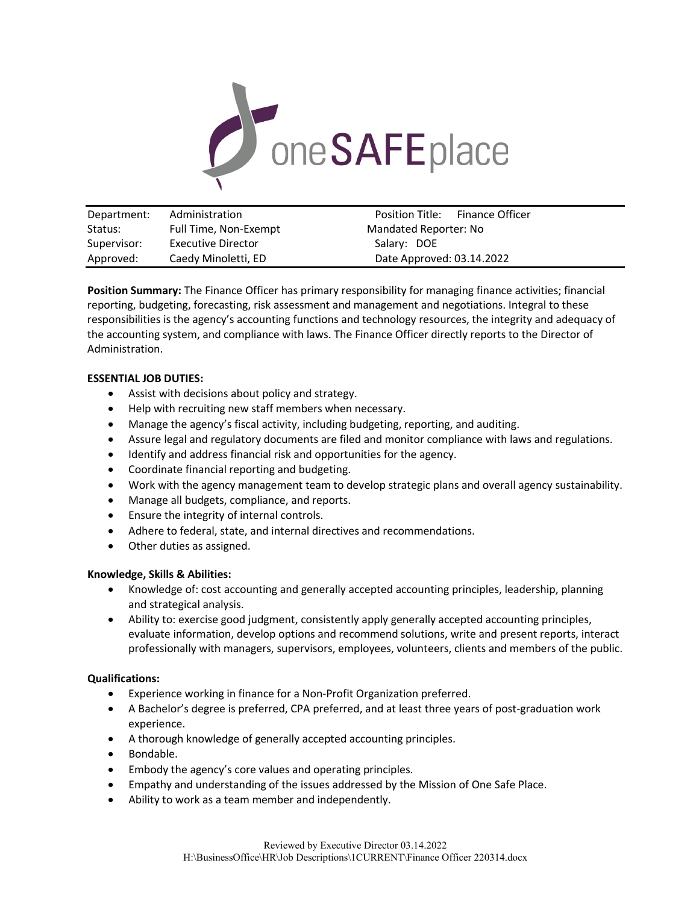

| Department: | Administration        | Position Title:           | Finance Officer |
|-------------|-----------------------|---------------------------|-----------------|
| Status:     | Full Time, Non-Exempt | Mandated Reporter: No     |                 |
| Supervisor: | Executive Director    | Salary: DOE               |                 |
| Approved:   | Caedy Minoletti, ED   | Date Approved: 03.14.2022 |                 |

**Position Summary:** The Finance Officer has primary responsibility for managing finance activities; financial reporting, budgeting, forecasting, risk assessment and management and negotiations. Integral to these responsibilities is the agency's accounting functions and technology resources, the integrity and adequacy of the accounting system, and compliance with laws. The Finance Officer directly reports to the Director of Administration.

## **ESSENTIAL JOB DUTIES:**

- Assist with decisions about policy and strategy.
- Help with recruiting new staff members when necessary.
- Manage the agency's fiscal activity, including budgeting, reporting, and auditing.
- Assure legal and regulatory documents are filed and monitor compliance with laws and regulations.
- Identify and address financial risk and opportunities for the agency.
- Coordinate financial reporting and budgeting.
- Work with the agency management team to develop strategic plans and overall agency sustainability.
- Manage all budgets, compliance, and reports.
- Ensure the integrity of internal controls.
- Adhere to federal, state, and internal directives and recommendations.
- Other duties as assigned.

# **Knowledge, Skills & Abilities:**

- Knowledge of: cost accounting and generally accepted accounting principles, leadership, planning and strategical analysis.
- Ability to: exercise good judgment, consistently apply generally accepted accounting principles, evaluate information, develop options and recommend solutions, write and present reports, interact professionally with managers, supervisors, employees, volunteers, clients and members of the public.

# **Qualifications:**

- Experience working in finance for a Non-Profit Organization preferred.
- A Bachelor's degree is preferred, CPA preferred, and at least three years of post-graduation work experience.
- A thorough knowledge of generally accepted accounting principles.
- Bondable.
- Embody the agency's core values and operating principles.
- Empathy and understanding of the issues addressed by the Mission of One Safe Place.
- Ability to work as a team member and independently.